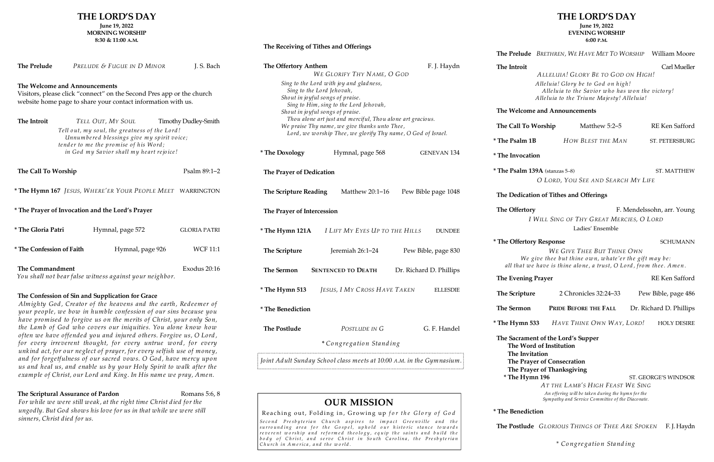#### **The Receiving of Tithes and Offerings**

Almighty God, Creator of the heavens and the earth, Redeemer of your people, we bow in humble confession of our sins because you have promised to forgive us on the merits of Christ, your only Son, the Lamb of God who covers our iniquities. You alone know how often we have offended you and injured others. Forgive us, O Lord, for every irreverent thought, for every untrue word, for every unkind act, for our neglect of prayer, for every selfish use of money, and for forgetfulness of our sacred vows. O God, have mercy upon us and heal us, and enable us by your Holy Spirit to w alk after the example of Christ, our Lord and King. In His name we pray, Amen.

## **The Scriptural Assurance of Pardon** Romans 5:6, 8

# **THE LORD'S DAY**

**June 19, 2022 MORNING WORSHIP**

**8:30 & 11:00 A.M.**

| The Prelude                                      |  | PRELUDE & FUGUE IN D MINOR                                                                                                                                                                            | J. S. Bach           |
|--------------------------------------------------|--|-------------------------------------------------------------------------------------------------------------------------------------------------------------------------------------------------------|----------------------|
| The Welcome and Announcements                    |  | Visitors, please click "connect" on the Second Pres app or the church<br>website home page to share your contact information with us.                                                                 |                      |
| The Introit                                      |  | TELL OUT, MY SOUL<br>Tell out, my soul, the greatness of the Lord!<br>Unnumbered blessings give my spirit voice;<br>tender to me the promise of his Word;<br>in God my Savior shall my heart rejoice! | Timothy Dudley-Smith |
| The Call To Worship                              |  |                                                                                                                                                                                                       | Psalm $89:1-2$       |
|                                                  |  | * The Hymn 167 JESUS, WHERE'ER YOUR PEOPLE MEET WARRINGTON                                                                                                                                            |                      |
| * The Prayer of Invocation and the Lord's Prayer |  |                                                                                                                                                                                                       |                      |
| * The Gloria Patri                               |  | Hymnal, page 572                                                                                                                                                                                      | <b>GLORIA PATRI</b>  |
| * The Confession of Faith                        |  | Hymnal, page 926                                                                                                                                                                                      | <b>WCF 11:1</b>      |
| <b>The Commandment</b>                           |  | You shall not bear false witness against your neighbor.                                                                                                                                               | Exodus 20:16         |

## **The Confession of Sin and Supplication for Grace**

| The Offertory Anthem                                                                                                                                                        | WE GLORIFY THY NAME, O GOD                                                 | F. J. Haydn         | The Introit                                                                                                                        | ALLELUIA! GLORY BE TO GOD ON HIGH!                                                  | Carl Mueller               |
|-----------------------------------------------------------------------------------------------------------------------------------------------------------------------------|----------------------------------------------------------------------------|---------------------|------------------------------------------------------------------------------------------------------------------------------------|-------------------------------------------------------------------------------------|----------------------------|
| Sing to the Lord with joy and gladness,<br>Sing to the Lord Jehovah,<br>Shout in joyful songs of praise.                                                                    |                                                                            |                     | Alleluia! Glory be to God on high!<br>Alleluia to the Savior who has won the victory!<br>Alleluia to the Triune Majesty! Alleluia! |                                                                                     |                            |
|                                                                                                                                                                             | Sing to Him, sing to the Lord Jehovah,<br>Shout in joyful songs of praise. |                     | The Welcome and Announcements                                                                                                      |                                                                                     |                            |
| Thou alone art just and merciful, Thou alone art gracious.<br>We praise Thy name, we give thanks unto Thee,<br>Lord, we worship Thee, we glorify Thy name, O God of Israel. |                                                                            | The Call To Worship | Matthew 5:2-5                                                                                                                      | RE Ken Safford                                                                      |                            |
|                                                                                                                                                                             |                                                                            |                     | <i>*</i> The Psalm 1B                                                                                                              | HOW BLEST THE MAN                                                                   | ST. PETERSBURG             |
| <i>*</i> The Doxology                                                                                                                                                       | Hymnal, page 568                                                           | <b>GENEVAN 134</b>  | <i>*</i> The Invocation                                                                                                            |                                                                                     |                            |
| The Prayer of Dedication                                                                                                                                                    |                                                                            |                     | * The Psalm 139A (stanzas 5-8)                                                                                                     | O LORD, YOU SEE AND SEARCH MY LIFE                                                  | ST. MATTHEW                |
| The Scripture Reading                                                                                                                                                       | Matthew 20:1-16                                                            | Pew Bible page 1048 |                                                                                                                                    | The Dedication of Tithes and Offerings                                              |                            |
| The Prayer of Intercession                                                                                                                                                  |                                                                            |                     | The Offertory                                                                                                                      | I WILL SING OF THY GREAT MERCIES, O LORD                                            | F. Mendelssohn, arr. Young |
| * The Hymn 121A                                                                                                                                                             | I LIFT MY EYES UP TO THE HILLS                                             | <b>DUNDEE</b>       |                                                                                                                                    | Ladies' Ensemble                                                                    |                            |
| The Scripture                                                                                                                                                               | Jeremiah 26:1-24                                                           | Pew Bible, page 830 | <i>*</i> The Offertory Response                                                                                                    | WE GIVE THEE BUT THINE OWN<br>We give thee but thine own, whate'er the gift may be: | <b>SCHUMANN</b>            |
| The Sermon<br><b>SENTENCED TO DEATH</b><br>Dr. Richard D. Phillips                                                                                                          |                                                                            |                     | all that we have is thine alone, a trust, O Lord, from thee. Amen.                                                                 |                                                                                     |                            |
|                                                                                                                                                                             |                                                                            |                     | The Evening Prayer                                                                                                                 |                                                                                     | RE Ken Safford             |
| * The Hymn 513                                                                                                                                                              | JESUS, I MY CROSS HAVE TAKEN                                               | <b>ELLESDIE</b>     | The Scripture                                                                                                                      | 2 Chronicles 32:24-33                                                               | Pew Bible, page 486        |
| * The Benediction                                                                                                                                                           |                                                                            |                     | <b>The Sermon</b>                                                                                                                  | PRIDE BEFORE THE FALL                                                               | Dr. Richard D. Phillips    |
| <b>The Postlude</b>                                                                                                                                                         | POSTLUDE IN G                                                              | G. F. Handel        | * The Hymn 533                                                                                                                     | HAVE THINE OWN WAY, LORD!                                                           | <b>HOLY DESIRE</b>         |
|                                                                                                                                                                             | *Congregation Standing                                                     |                     | The Sacrament of the Lord's Supper<br>The Word of Institution<br>The Invitation                                                    |                                                                                     |                            |
|                                                                                                                                                                             | Joint Adult Sunday School class meets at 10:00 A.M. in the Gymnasium.      |                     | The Prayer of Consecration<br>The Prayer of Thanksgiving                                                                           |                                                                                     |                            |

# \* The Hymn 196 ST. GEORGE'S WINDSOR AT THE LAMB'S HIGH FEAST WE SING An offering will be taken during the hymn for the Sympathy and Service Committee of the Diaconate.

For while we were still weak, at the right time Christ died for the ungodly. But God shows his love for us in that while we were still sinners, Christ died for us.

# **THE LORD'S DAY**

#### **June 19, 2022 EVENING WORSHIP 6:00 P.M.**

# **OUR MISSION**

Reaching out, Folding in, Growing up for the Glory of God

Second Presbyterian Church aspires to impact Greenville and the surrounding area for the Gospel, uphold our historic stance towards reverent worship and reformed theology, equip the saints and build the body of Christ, and serve Christ in South Carolina, the Presbyterian Church in America, and the world.

|  |  | The Prelude BRETHREN, WE HAVE MET TO WORSHIP William Moore |  |
|--|--|------------------------------------------------------------|--|
|--|--|------------------------------------------------------------|--|

| tory                                     | F. Mendelssohn, arr. Young |
|------------------------------------------|----------------------------|
| I WILL SING OF THY GREAT MERCIES, O LORD |                            |
| Ladies' Ensemble                         |                            |

**\* The Benediction**

The Postlude GLORIOUS THINGS OF THEE ARE SPOKEN F.J. Haydn

\* Co ngre gatio n Stand ing